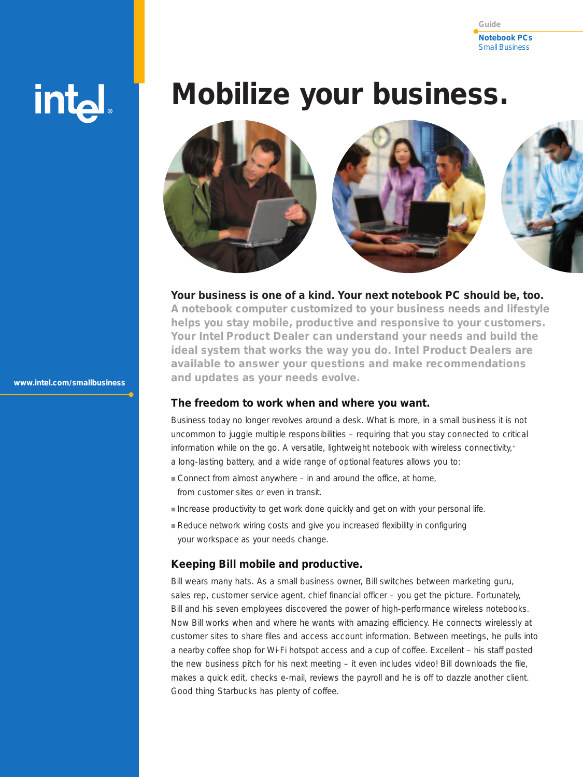#### **Notebook PCs** Small Business **Guide**

# int<sub>e</sub>

**www.intel.com/smallbusiness**

# **Mobilize your business.**



# **Your business is one of a kind. Your next notebook PC should be, too.**

**A notebook computer customized to your business needs and lifestyle helps you stay mobile, productive and responsive to your customers. Your Intel Product Dealer can understand your needs and build the ideal system that works the way you do. Intel Product Dealers are available to answer your questions and make recommendations and updates as your needs evolve.** 

# **The freedom to work when and where you want.**

Business today no longer revolves around a desk. What is more, in a small business it is not uncommon to juggle multiple responsibilities – requiring that you stay connected to critical information while on the go. A versatile, lightweight notebook with wireless connectivity, + a long-lasting battery, and a wide range of optional features allows you to:

- Connect from almost anywhere in and around the office, at home, from customer sites or even in transit.
- Increase productivity to get work done quickly and get on with your personal life.
- Reduce network wiring costs and give you increased flexibility in configuring your workspace as your needs change.

# **Keeping Bill mobile and productive.**

Bill wears many hats. As a small business owner, Bill switches between marketing guru, sales rep, customer service agent, chief financial officer – you get the picture. Fortunately, Bill and his seven employees discovered the power of high-performance wireless notebooks. Now Bill works when and where he wants with amazing efficiency. He connects wirelessly at customer sites to share files and access account information. Between meetings, he pulls into a nearby coffee shop for Wi-Fi hotspot access and a cup of coffee. Excellent – his staff posted the new business pitch for his next meeting – it even includes video! Bill downloads the file, makes a quick edit, checks e-mail, reviews the payroll and he is off to dazzle another client. Good thing Starbucks has plenty of coffee.